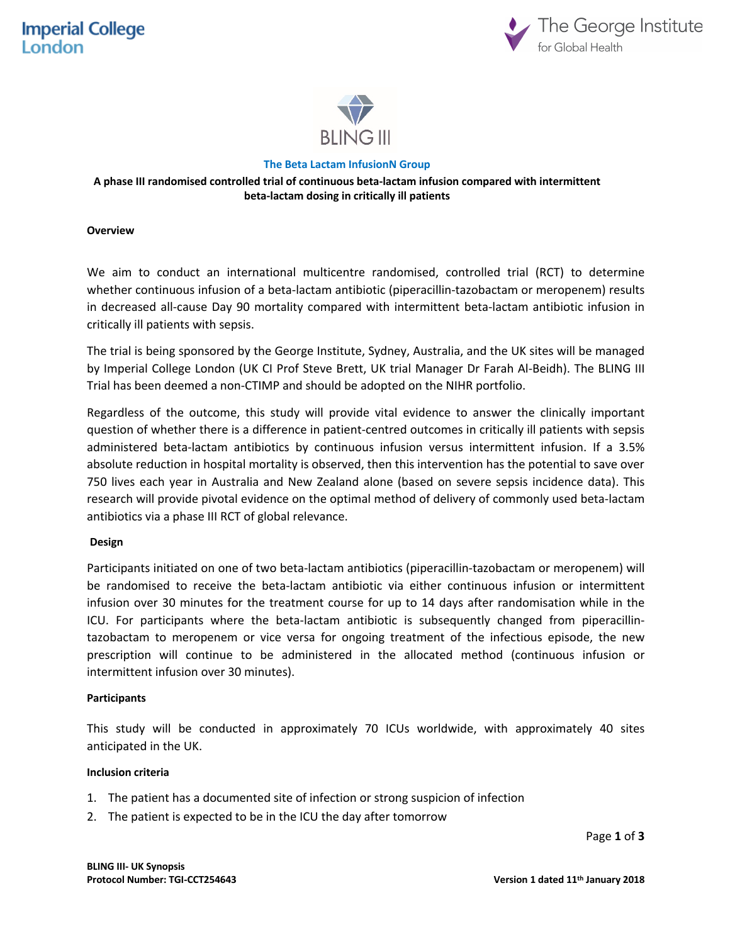



#### **The Beta Lactam InfusionN Group**

## **A phase III randomised controlled trial of continuous beta-lactam infusion compared with intermittent beta-lactam dosing in critically ill patients**

#### **Overview**

We aim to conduct an international multicentre randomised, controlled trial (RCT) to determine whether continuous infusion of a beta-lactam antibiotic (piperacillin-tazobactam or meropenem) results in decreased all-cause Day 90 mortality compared with intermittent beta-lactam antibiotic infusion in critically ill patients with sepsis.

The trial is being sponsored by the George Institute, Sydney, Australia, and the UK sites will be managed by Imperial College London (UK CI Prof Steve Brett, UK trial Manager Dr Farah Al-Beidh). The BLING III Trial has been deemed a non-CTIMP and should be adopted on the NIHR portfolio.

Regardless of the outcome, this study will provide vital evidence to answer the clinically important question of whether there is a difference in patient-centred outcomes in critically ill patients with sepsis administered beta-lactam antibiotics by continuous infusion versus intermittent infusion. If a 3.5% absolute reduction in hospital mortality is observed, then this intervention has the potential to save over 750 lives each year in Australia and New Zealand alone (based on severe sepsis incidence data). This research will provide pivotal evidence on the optimal method of delivery of commonly used beta-lactam antibiotics via a phase III RCT of global relevance.

## **Design**

Participants initiated on one of two beta-lactam antibiotics (piperacillin-tazobactam or meropenem) will be randomised to receive the beta-lactam antibiotic via either continuous infusion or intermittent infusion over 30 minutes for the treatment course for up to 14 days after randomisation while in the ICU. For participants where the beta-lactam antibiotic is subsequently changed from piperacillintazobactam to meropenem or vice versa for ongoing treatment of the infectious episode, the new prescription will continue to be administered in the allocated method (continuous infusion or intermittent infusion over 30 minutes).

#### **Participants**

This study will be conducted in approximately 70 ICUs worldwide, with approximately 40 sites anticipated in the UK.

#### **Inclusion criteria**

- 1. The patient has a documented site of infection or strong suspicion of infection
- 2. The patient is expected to be in the ICU the day after tomorrow

Page **1** of **3**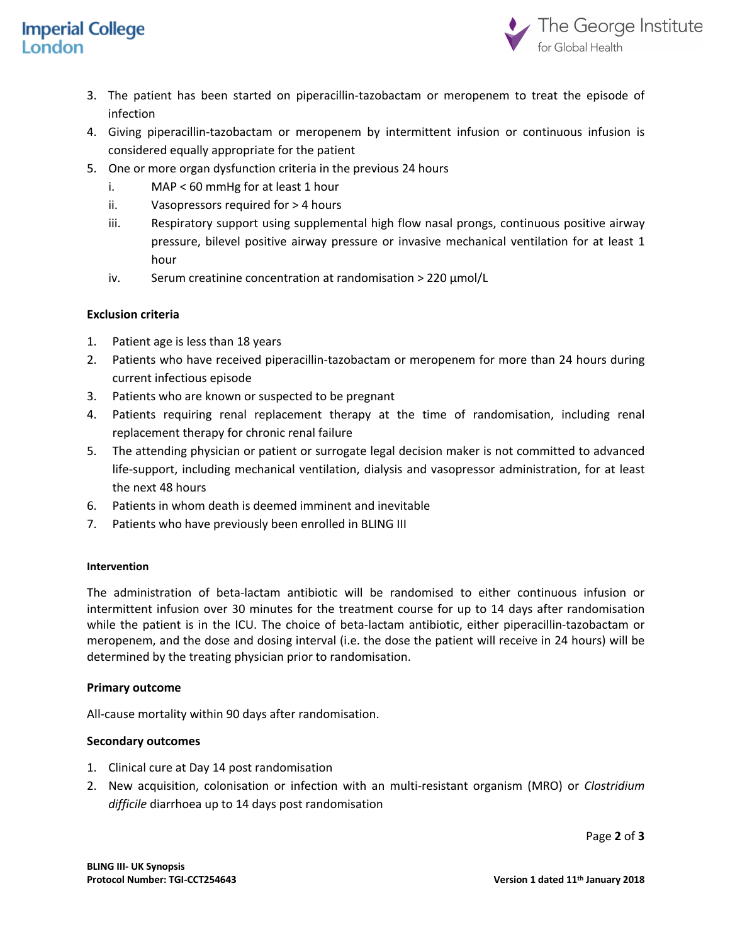# **Imperial College** London



- 3. The patient has been started on piperacillin-tazobactam or meropenem to treat the episode of infection
- 4. Giving piperacillin-tazobactam or meropenem by intermittent infusion or continuous infusion is considered equally appropriate for the patient
- 5. One or more organ dysfunction criteria in the previous 24 hours
	- i. MAP < 60 mmHg for at least 1 hour
	- ii. Vasopressors required for > 4 hours
	- iii. Respiratory support using supplemental high flow nasal prongs, continuous positive airway pressure, bilevel positive airway pressure or invasive mechanical ventilation for at least 1 hour
	- iv. Serum creatinine concentration at randomisation > 220 µmol/L

## **Exclusion criteria**

- 1. Patient age is less than 18 years
- 2. Patients who have received piperacillin-tazobactam or meropenem for more than 24 hours during current infectious episode
- 3. Patients who are known or suspected to be pregnant
- 4. Patients requiring renal replacement therapy at the time of randomisation, including renal replacement therapy for chronic renal failure
- 5. The attending physician or patient or surrogate legal decision maker is not committed to advanced life-support, including mechanical ventilation, dialysis and vasopressor administration, for at least the next 48 hours
- 6. Patients in whom death is deemed imminent and inevitable
- 7. Patients who have previously been enrolled in BLING III

## **Intervention**

The administration of beta-lactam antibiotic will be randomised to either continuous infusion or intermittent infusion over 30 minutes for the treatment course for up to 14 days after randomisation while the patient is in the ICU. The choice of beta-lactam antibiotic, either piperacillin-tazobactam or meropenem, and the dose and dosing interval (i.e. the dose the patient will receive in 24 hours) will be determined by the treating physician prior to randomisation.

## **Primary outcome**

All-cause mortality within 90 days after randomisation.

## **Secondary outcomes**

- 1. Clinical cure at Day 14 post randomisation
- 2. New acquisition, colonisation or infection with an multi-resistant organism (MRO) or *Clostridium difficile* diarrhoea up to 14 days post randomisation